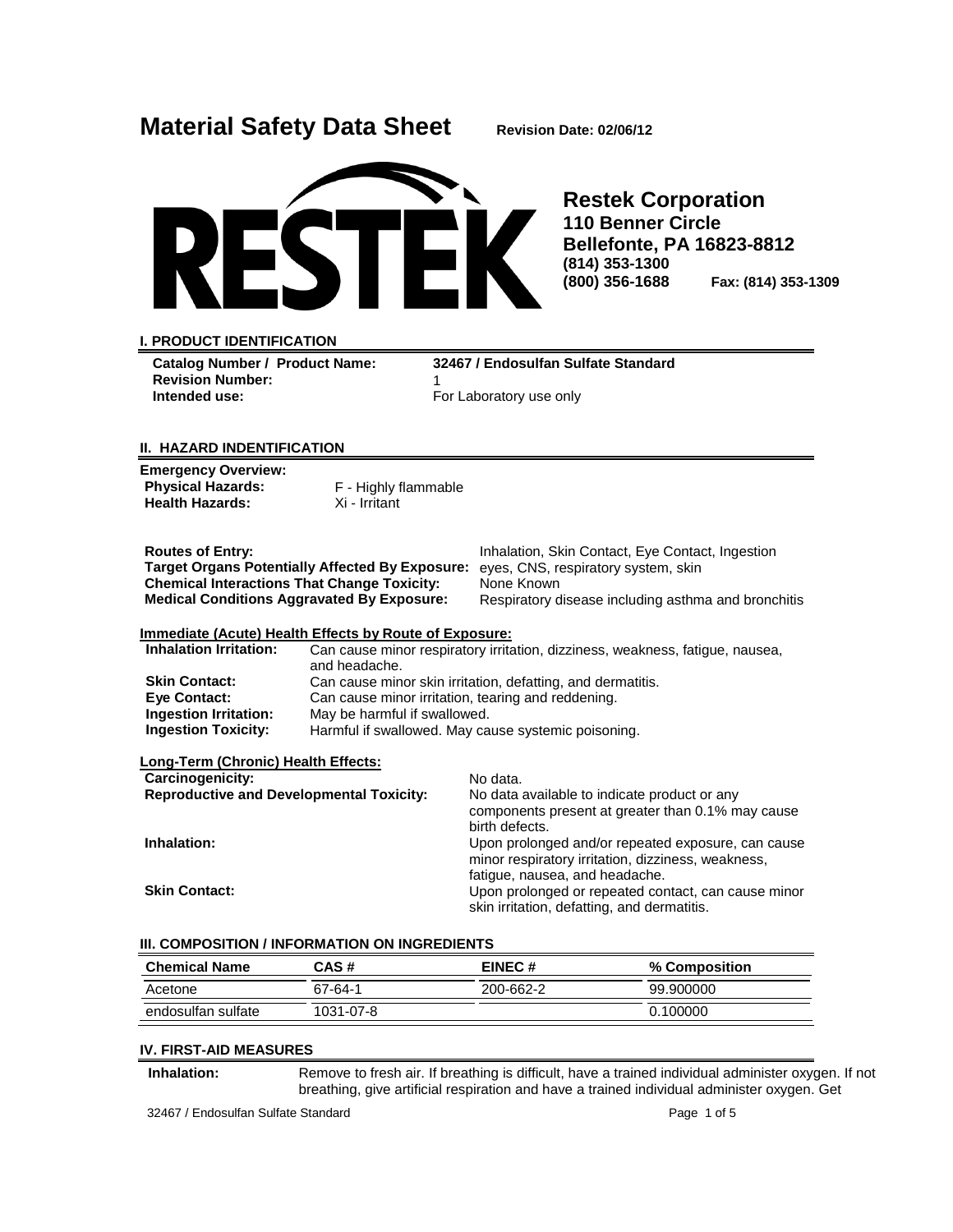| <b>Material Safety Data Sheet</b> |  |  |  |
|-----------------------------------|--|--|--|
|-----------------------------------|--|--|--|



**Restek Corporation 110 Benner Circle Bellefonte, PA 16823-8812 (814) 353-1300 (800) 356-1688 Fax: (814) 353-1309**

#### **I. PRODUCT IDENTIFICATION**

**Revision Number:** 1

**Catalog Number / Product Name: 32467 / Endosulfan Sulfate Standard**  For Laboratory use only

**Material Safety Data Sheet Revision Date: 02/06/12**

### **II. HAZARD INDENTIFICATION**

| <b>Emergency Overview:</b><br><b>Physical Hazards:</b><br><b>Health Hazards:</b>                                                                                                             | F - Highly flammable<br>Xi - Irritant              |                                                                                                                                                              |  |
|----------------------------------------------------------------------------------------------------------------------------------------------------------------------------------------------|----------------------------------------------------|--------------------------------------------------------------------------------------------------------------------------------------------------------------|--|
| <b>Routes of Entry:</b><br><b>Target Organs Potentially Affected By Exposure:</b><br><b>Chemical Interactions That Change Toxicity:</b><br><b>Medical Conditions Aggravated By Exposure:</b> |                                                    | Inhalation, Skin Contact, Eye Contact, Ingestion<br>eyes, CNS, respiratory system, skin<br>None Known<br>Respiratory disease including asthma and bronchitis |  |
| Immediate (Acute) Health Effects by Route of Exposure:                                                                                                                                       |                                                    |                                                                                                                                                              |  |
| <b>Inhalation Irritation:</b>                                                                                                                                                                |                                                    | Can cause minor respiratory irritation, dizziness, weakness, fatigue, nausea,                                                                                |  |
|                                                                                                                                                                                              | and headache.                                      |                                                                                                                                                              |  |
| <b>Skin Contact:</b>                                                                                                                                                                         |                                                    | Can cause minor skin irritation, defatting, and dermatitis.                                                                                                  |  |
| Eye Contact:                                                                                                                                                                                 | Can cause minor irritation, tearing and reddening. |                                                                                                                                                              |  |
| <b>Ingestion Irritation:</b>                                                                                                                                                                 | May be harmful if swallowed.                       |                                                                                                                                                              |  |
| <b>Ingestion Toxicity:</b>                                                                                                                                                                   |                                                    | Harmful if swallowed. May cause systemic poisoning.                                                                                                          |  |
| Long-Term (Chronic) Health Effects:                                                                                                                                                          |                                                    |                                                                                                                                                              |  |
| Carcinogenicity:                                                                                                                                                                             |                                                    | No data.                                                                                                                                                     |  |
| <b>Reproductive and Developmental Toxicity:</b>                                                                                                                                              |                                                    | No data available to indicate product or any                                                                                                                 |  |
|                                                                                                                                                                                              |                                                    | components present at greater than 0.1% may cause                                                                                                            |  |
|                                                                                                                                                                                              |                                                    | birth defects.                                                                                                                                               |  |
| Inhalation:                                                                                                                                                                                  |                                                    | Upon prolonged and/or repeated exposure, can cause                                                                                                           |  |
|                                                                                                                                                                                              |                                                    | minor respiratory irritation, dizziness, weakness,                                                                                                           |  |
|                                                                                                                                                                                              |                                                    | fatigue, nausea, and headache.                                                                                                                               |  |
| <b>Skin Contact:</b>                                                                                                                                                                         |                                                    | Upon prolonged or repeated contact, can cause minor                                                                                                          |  |
|                                                                                                                                                                                              |                                                    | skin irritation, defatting, and dermatitis.                                                                                                                  |  |

#### **III. COMPOSITION / INFORMATION ON INGREDIENTS**

| <b>Chemical Name</b> | CAS#      | EINEC#    | % Composition   |
|----------------------|-----------|-----------|-----------------|
| Acetone              | 67-64-1   | 200-662-2 | 99.900000       |
| endosulfan sulfate   | 1031-07-8 |           | <u>ን 100000</u> |

#### **IV. FIRST-AID MEASURES**

**Inhalation:** Remove to fresh air. If breathing is difficult, have a trained individual administer oxygen. If not breathing, give artificial respiration and have a trained individual administer oxygen. Get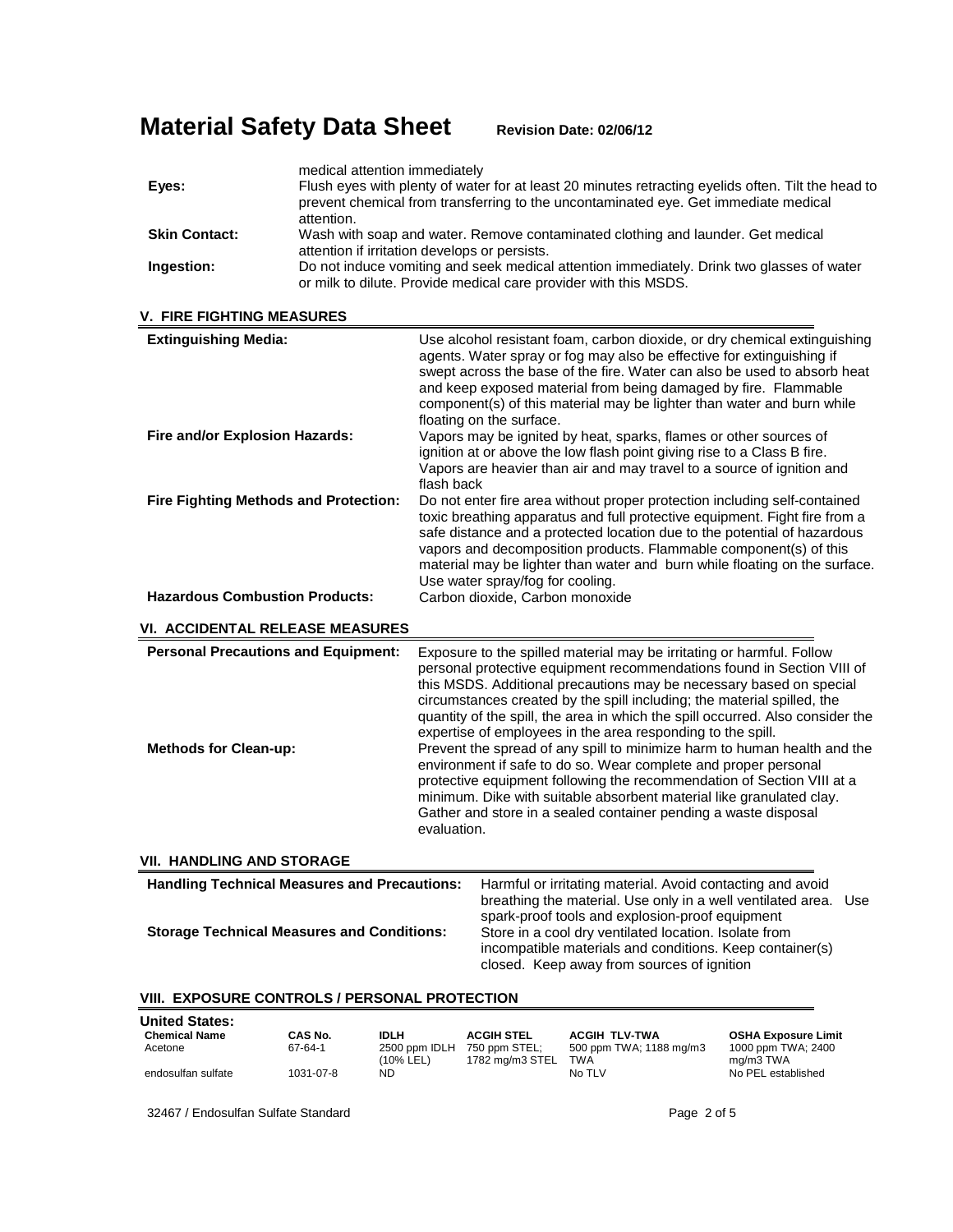|                      | medical attention immediately                                                                                                                                                                           |
|----------------------|---------------------------------------------------------------------------------------------------------------------------------------------------------------------------------------------------------|
| Eyes:                | Flush eyes with plenty of water for at least 20 minutes retracting eyelids often. Tilt the head to<br>prevent chemical from transferring to the uncontaminated eye. Get immediate medical<br>attention. |
| <b>Skin Contact:</b> | Wash with soap and water. Remove contaminated clothing and launder. Get medical<br>attention if irritation develops or persists.                                                                        |
| Ingestion:           | Do not induce vomiting and seek medical attention immediately. Drink two glasses of water<br>or milk to dilute. Provide medical care provider with this MSDS.                                           |

|  |  |  | V.  FIRE FIGHTING MEASURES |
|--|--|--|----------------------------|
|--|--|--|----------------------------|

| <b>Extinguishing Media:</b><br>Fire and/or Explosion Hazards:                                            | Use alcohol resistant foam, carbon dioxide, or dry chemical extinguishing<br>agents. Water spray or fog may also be effective for extinguishing if<br>swept across the base of the fire. Water can also be used to absorb heat<br>and keep exposed material from being damaged by fire. Flammable<br>component(s) of this material may be lighter than water and burn while<br>floating on the surface.<br>Vapors may be ignited by heat, sparks, flames or other sources of                                                                                                                                                                                                                                                                                                                                                          |  |
|----------------------------------------------------------------------------------------------------------|---------------------------------------------------------------------------------------------------------------------------------------------------------------------------------------------------------------------------------------------------------------------------------------------------------------------------------------------------------------------------------------------------------------------------------------------------------------------------------------------------------------------------------------------------------------------------------------------------------------------------------------------------------------------------------------------------------------------------------------------------------------------------------------------------------------------------------------|--|
|                                                                                                          | ignition at or above the low flash point giving rise to a Class B fire.<br>Vapors are heavier than air and may travel to a source of ignition and<br>flash back                                                                                                                                                                                                                                                                                                                                                                                                                                                                                                                                                                                                                                                                       |  |
| <b>Fire Fighting Methods and Protection:</b>                                                             | Do not enter fire area without proper protection including self-contained<br>toxic breathing apparatus and full protective equipment. Fight fire from a<br>safe distance and a protected location due to the potential of hazardous<br>vapors and decomposition products. Flammable component(s) of this<br>material may be lighter than water and burn while floating on the surface.<br>Use water spray/fog for cooling.                                                                                                                                                                                                                                                                                                                                                                                                            |  |
| <b>Hazardous Combustion Products:</b>                                                                    | Carbon dioxide, Carbon monoxide                                                                                                                                                                                                                                                                                                                                                                                                                                                                                                                                                                                                                                                                                                                                                                                                       |  |
| <b>VI. ACCIDENTAL RELEASE MEASURES</b>                                                                   |                                                                                                                                                                                                                                                                                                                                                                                                                                                                                                                                                                                                                                                                                                                                                                                                                                       |  |
| <b>Personal Precautions and Equipment:</b><br><b>Methods for Clean-up:</b>                               | Exposure to the spilled material may be irritating or harmful. Follow<br>personal protective equipment recommendations found in Section VIII of<br>this MSDS. Additional precautions may be necessary based on special<br>circumstances created by the spill including; the material spilled, the<br>quantity of the spill, the area in which the spill occurred. Also consider the<br>expertise of employees in the area responding to the spill.<br>Prevent the spread of any spill to minimize harm to human health and the<br>environment if safe to do so. Wear complete and proper personal<br>protective equipment following the recommendation of Section VIII at a<br>minimum. Dike with suitable absorbent material like granulated clay.<br>Gather and store in a sealed container pending a waste disposal<br>evaluation. |  |
| <b>VII. HANDLING AND STORAGE</b>                                                                         |                                                                                                                                                                                                                                                                                                                                                                                                                                                                                                                                                                                                                                                                                                                                                                                                                                       |  |
| <b>Handling Technical Measures and Precautions:</b><br><b>Storage Technical Measures and Conditions:</b> | Harmful or irritating material. Avoid contacting and avoid<br>breathing the material. Use only in a well ventilated area. Use<br>spark-proof tools and explosion-proof equipment<br>Store in a cool dry ventilated location. Isolate from<br>incompatible materials and conditions. Keep container(s)<br>closed. Keep away from sources of ignition                                                                                                                                                                                                                                                                                                                                                                                                                                                                                   |  |
| VIII. EXPOSURE CONTROLS / PERSONAL PROTECTION                                                            |                                                                                                                                                                                                                                                                                                                                                                                                                                                                                                                                                                                                                                                                                                                                                                                                                                       |  |

| <b>United States:</b> |           |                            |                                  |                                |                                 |
|-----------------------|-----------|----------------------------|----------------------------------|--------------------------------|---------------------------------|
| <b>Chemical Name</b>  | CAS No.   | <b>IDLH</b>                | <b>ACGIH STEL</b>                | <b>ACGIH TLV-TWA</b>           | <b>OSHA Exposure Limit</b>      |
| Acetone               | 67-64-1   | 2500 ppm IDLH<br>(10% LEL) | 750 ppm STEL:<br>1782 mg/m3 STEL | 500 ppm TWA; 1188 mg/m3<br>TWA | 1000 ppm TWA; 2400<br>ma/m3 TWA |
| endosulfan sulfate    | 1031-07-8 | ND.                        |                                  | No TLV                         | No PEL established              |

32467 / Endosulfan Sulfate Standard **Page 2 of 5** and 2 of 5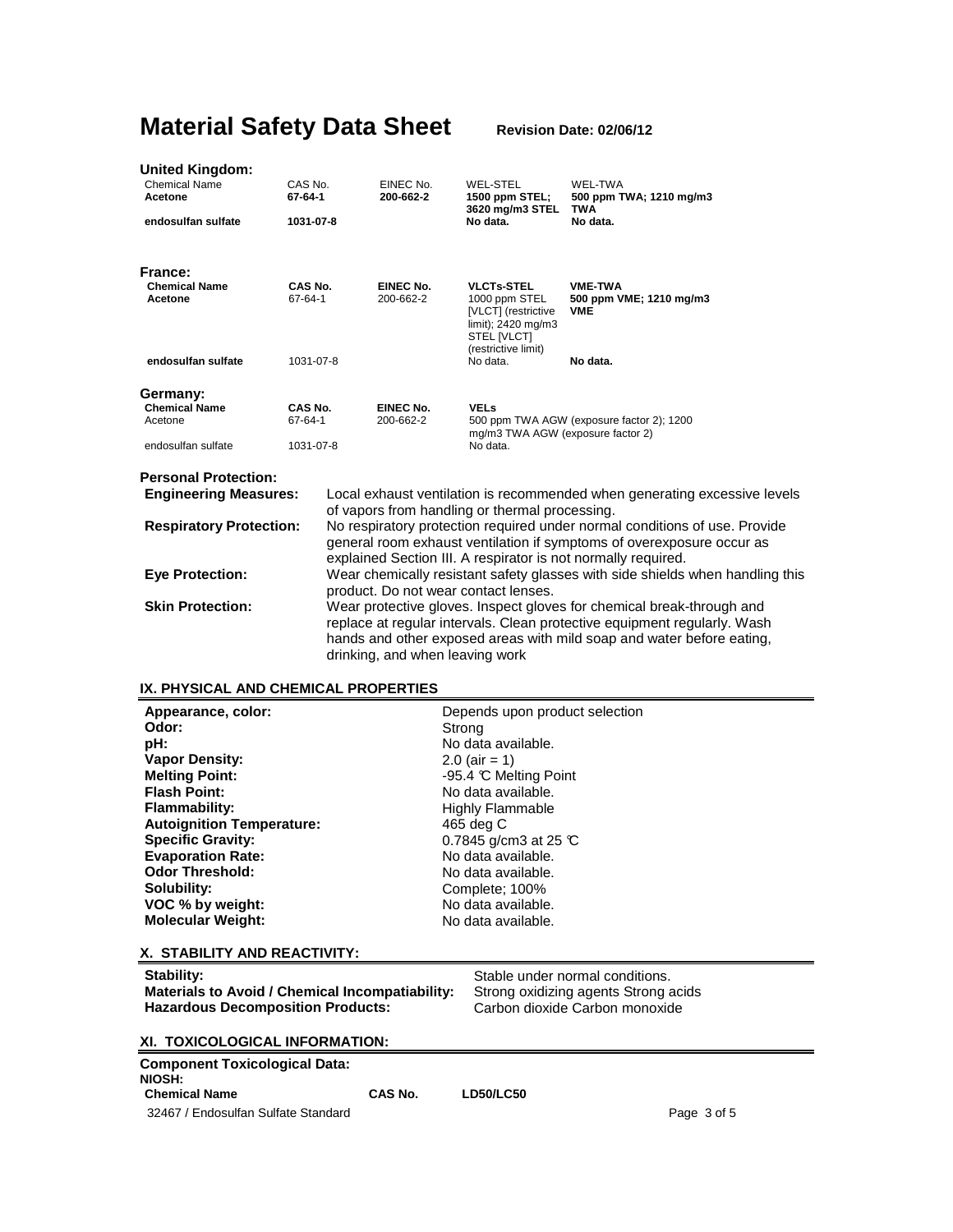| United Kingdom:                 |                                                                                                                                                                                                                                                                        |                                                                                                                                                                                                                                                               |                        |                                                                                                                       |                                                                           |
|---------------------------------|------------------------------------------------------------------------------------------------------------------------------------------------------------------------------------------------------------------------------------------------------------------------|---------------------------------------------------------------------------------------------------------------------------------------------------------------------------------------------------------------------------------------------------------------|------------------------|-----------------------------------------------------------------------------------------------------------------------|---------------------------------------------------------------------------|
| <b>Chemical Name</b><br>Acetone | CAS No.<br>67-64-1                                                                                                                                                                                                                                                     |                                                                                                                                                                                                                                                               | EINEC No.<br>200-662-2 | <b>WEL-STEL</b><br>1500 ppm STEL;<br>3620 mg/m3 STEL                                                                  | WEL-TWA<br>500 ppm TWA; 1210 mg/m3<br><b>TWA</b>                          |
| endosulfan sulfate              | 1031-07-8                                                                                                                                                                                                                                                              |                                                                                                                                                                                                                                                               |                        | No data.                                                                                                              | No data.                                                                  |
| France:                         |                                                                                                                                                                                                                                                                        |                                                                                                                                                                                                                                                               |                        |                                                                                                                       |                                                                           |
| <b>Chemical Name</b><br>Acetone | CAS No.<br>67-64-1                                                                                                                                                                                                                                                     |                                                                                                                                                                                                                                                               | EINEC No.<br>200-662-2 | <b>VLCTs-STEL</b><br>1000 ppm STEL<br>[VLCT] (restrictive<br>limit); 2420 mg/m3<br>STEL [VLCT]<br>(restrictive limit) | <b>VME-TWA</b><br>500 ppm VME; 1210 mg/m3<br>VME                          |
| endosulfan sulfate              | 1031-07-8                                                                                                                                                                                                                                                              |                                                                                                                                                                                                                                                               |                        | No data.                                                                                                              | No data.                                                                  |
| Germany:                        |                                                                                                                                                                                                                                                                        |                                                                                                                                                                                                                                                               |                        |                                                                                                                       |                                                                           |
| <b>Chemical Name</b><br>Acetone | CAS No.<br>67-64-1                                                                                                                                                                                                                                                     |                                                                                                                                                                                                                                                               | EINEC No.<br>200-662-2 | <b>VELs</b><br>mg/m3 TWA AGW (exposure factor 2)                                                                      | 500 ppm TWA AGW (exposure factor 2); 1200                                 |
| endosulfan sulfate              | 1031-07-8                                                                                                                                                                                                                                                              |                                                                                                                                                                                                                                                               |                        | No data.                                                                                                              |                                                                           |
| <b>Personal Protection:</b>     |                                                                                                                                                                                                                                                                        |                                                                                                                                                                                                                                                               |                        |                                                                                                                       |                                                                           |
| <b>Engineering Measures:</b>    |                                                                                                                                                                                                                                                                        |                                                                                                                                                                                                                                                               |                        |                                                                                                                       | Local exhaust ventilation is recommended when generating excessive levels |
| <b>Respiratory Protection:</b>  | of vapors from handling or thermal processing.<br>No respiratory protection required under normal conditions of use. Provide<br>general room exhaust ventilation if symptoms of overexposure occur as<br>explained Section III. A respirator is not normally required. |                                                                                                                                                                                                                                                               |                        |                                                                                                                       |                                                                           |
| <b>Eye Protection:</b>          |                                                                                                                                                                                                                                                                        | Wear chemically resistant safety glasses with side shields when handling this<br>product. Do not wear contact lenses.                                                                                                                                         |                        |                                                                                                                       |                                                                           |
| <b>Skin Protection:</b>         |                                                                                                                                                                                                                                                                        | Wear protective gloves. Inspect gloves for chemical break-through and<br>replace at regular intervals. Clean protective equipment regularly. Wash<br>hands and other exposed areas with mild soap and water before eating,<br>drinking, and when leaving work |                        |                                                                                                                       |                                                                           |

## **IX. PHYSICAL AND CHEMICAL PROPERTIES**

| Appearance, color:               | Depends upon product selection  |
|----------------------------------|---------------------------------|
| Odor:                            | Strong                          |
| pH:                              | No data available.              |
| <b>Vapor Density:</b>            | $2.0$ (air = 1)                 |
| <b>Melting Point:</b>            | -95.4 °C Melting Point          |
| <b>Flash Point:</b>              | No data available.              |
| <b>Flammability:</b>             | <b>Highly Flammable</b>         |
| <b>Autoignition Temperature:</b> | 465 deg C                       |
| <b>Specific Gravity:</b>         | 0.7845 g/cm3 at 25 $\mathbb{C}$ |
| <b>Evaporation Rate:</b>         | No data available.              |
| <b>Odor Threshold:</b>           | No data available.              |
| Solubility:                      | Complete: 100%                  |
| VOC % by weight:                 | No data available.              |
| <b>Molecular Weight:</b>         | No data available.              |
| X. STABILITY AND REACTIVITY:     |                                 |

| Stability:<br>Materials to Avoid / Chemical Incompatiability:<br><b>Hazardous Decomposition Products:</b> | Stable under normal conditions.<br>Strong oxidizing agents Strong acids<br>Carbon dioxide Carbon monoxide |
|-----------------------------------------------------------------------------------------------------------|-----------------------------------------------------------------------------------------------------------|
| XI. TOXICOLOGICAL INFORMATION:                                                                            |                                                                                                           |
|                                                                                                           |                                                                                                           |

| Component Toxicological Data:<br>NIOSH: |         |           |  |
|-----------------------------------------|---------|-----------|--|
| <b>Chemical Name</b>                    | CAS No. | LD50/LC50 |  |
| 32467 / Endosulfan Sulfate Standard     |         |           |  |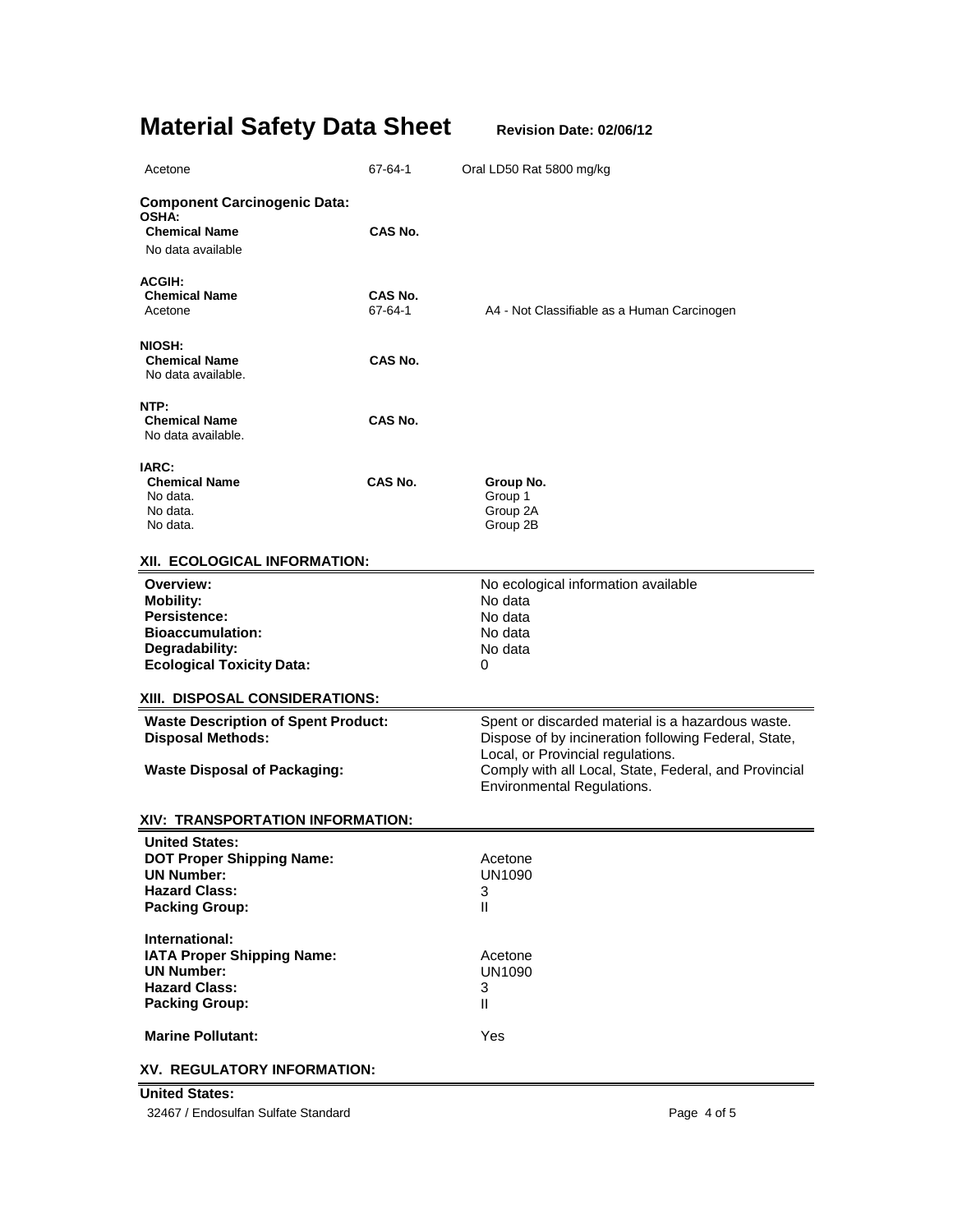| Acetone                                                                                                                               | 67-64-1            | Oral LD50 Rat 5800 mg/kg                                                                                                                                                                                                              |
|---------------------------------------------------------------------------------------------------------------------------------------|--------------------|---------------------------------------------------------------------------------------------------------------------------------------------------------------------------------------------------------------------------------------|
| <b>Component Carcinogenic Data:</b><br><b>OSHA:</b><br><b>Chemical Name</b><br>No data available                                      | CAS No.            |                                                                                                                                                                                                                                       |
| <b>ACGIH:</b><br><b>Chemical Name</b><br>Acetone                                                                                      | CAS No.<br>67-64-1 | A4 - Not Classifiable as a Human Carcinogen                                                                                                                                                                                           |
| NIOSH:<br><b>Chemical Name</b><br>No data available.                                                                                  | CAS No.            |                                                                                                                                                                                                                                       |
| NTP:<br><b>Chemical Name</b><br>No data available.                                                                                    | CAS No.            |                                                                                                                                                                                                                                       |
| IARC:<br><b>Chemical Name</b><br>No data.<br>No data.<br>No data.                                                                     | CAS No.            | Group No.<br>Group 1<br>Group 2A<br>Group 2B                                                                                                                                                                                          |
| XII. ECOLOGICAL INFORMATION:                                                                                                          |                    |                                                                                                                                                                                                                                       |
| Overview:<br><b>Mobility:</b><br><b>Persistence:</b><br><b>Bioaccumulation:</b><br>Degradability:<br><b>Ecological Toxicity Data:</b> |                    | No ecological information available<br>No data<br>No data<br>No data<br>No data<br>0                                                                                                                                                  |
| XIII. DISPOSAL CONSIDERATIONS:                                                                                                        |                    |                                                                                                                                                                                                                                       |
| <b>Waste Description of Spent Product:</b><br><b>Disposal Methods:</b><br><b>Waste Disposal of Packaging:</b>                         |                    | Spent or discarded material is a hazardous waste.<br>Dispose of by incineration following Federal, State,<br>Local, or Provincial regulations.<br>Comply with all Local, State, Federal, and Provincial<br>Environmental Regulations. |
| XIV: TRANSPORTATION INFORMATION:                                                                                                      |                    |                                                                                                                                                                                                                                       |
| <b>United States:</b><br><b>DOT Proper Shipping Name:</b><br><b>UN Number:</b><br><b>Hazard Class:</b><br><b>Packing Group:</b>       |                    | Acetone<br><b>UN1090</b><br>3<br>$\mathbf{H}$                                                                                                                                                                                         |
| International:<br>IATA Proper Shipping Name:<br><b>UN Number:</b><br><b>Hazard Class:</b><br><b>Packing Group:</b>                    |                    | Acetone<br><b>UN1090</b><br>3<br>$\mathbf{II}$                                                                                                                                                                                        |
| <b>Marine Pollutant:</b>                                                                                                              |                    | Yes                                                                                                                                                                                                                                   |
| XV. REGULATORY INFORMATION:                                                                                                           |                    |                                                                                                                                                                                                                                       |